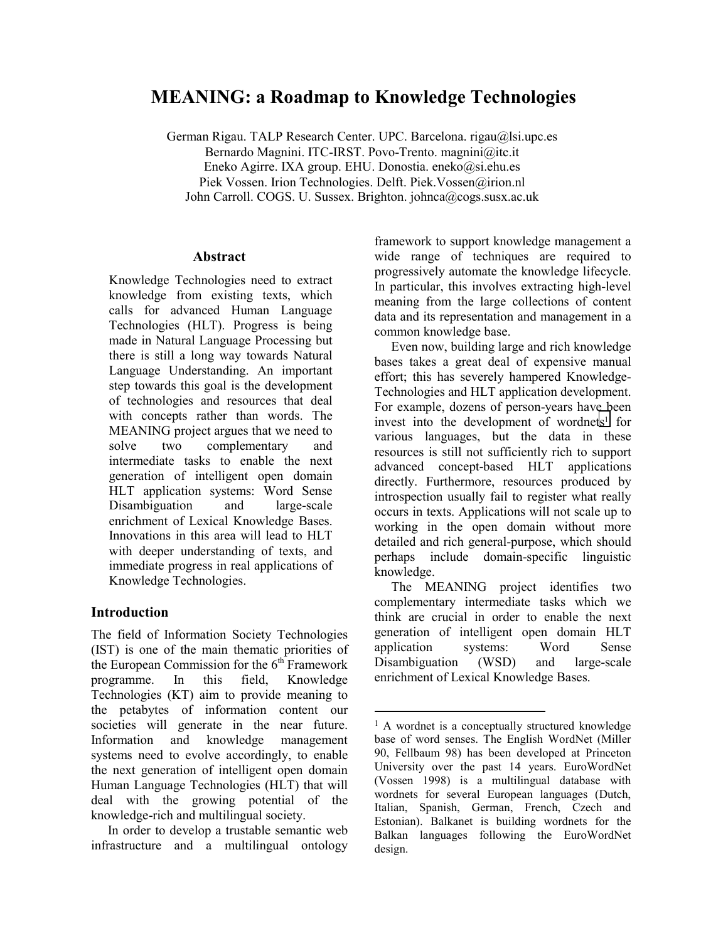# **MEANING: a Roadmap to Knowledge Technologies**

German Rigau. TALP Research Center. UPC. Barcelona. rigau@lsi.upc.es Bernardo Magnini. ITC-IRST. Povo-Trento. magnini@itc.it Eneko Agirre. IXA group. EHU. Donostia. eneko@si.ehu.es Piek Vossen. Irion Technologies. Delft. Piek.Vossen@irion.nl John Carroll. COGS. U. Sussex. Brighton. johnca@cogs.susx.ac.uk

 $\overline{a}$ 

#### **Abstract**

Knowledge Technologies need to extract knowledge from existing texts, which calls for advanced Human Language Technologies (HLT). Progress is being made in Natural Language Processing but there is still a long way towards Natural Language Understanding. An important step towards this goal is the development of technologies and resources that deal with concepts rather than words. The MEANING project argues that we need to solve two complementary and intermediate tasks to enable the next generation of intelligent open domain HLT application systems: Word Sense Disambiguation and large-scale enrichment of Lexical Knowledge Bases. Innovations in this area will lead to HLT with deeper understanding of texts, and immediate progress in real applications of Knowledge Technologies.

## **Introduction**

The field of Information Society Technologies (IST) is one of the main thematic priorities of the European Commission for the  $6<sup>th</sup>$  Framework programme. In this field, Knowledge Technologies (KT) aim to provide meaning to the petabytes of information content our societies will generate in the near future. Information and knowledge management systems need to evolve accordingly, to enable the next generation of intelligent open domain Human Language Technologies (HLT) that will deal with the growing potential of the knowledge-rich and multilingual society.

In order to develop a trustable semantic web infrastructure and a multilingual ontology framework to support knowledge management a wide range of techniques are required to progressively automate the knowledge lifecycle. In particular, this involves extracting high-level meaning from the large collections of content data and its representation and management in a common knowledge base.

Even now, building large and rich knowledge bases takes a great deal of expensive manual effort; this has severely hampered Knowledge-Technologies and HLT application development. For example, dozens of person-years have been invest into the development of wordnets<sup>1</sup> for various languages, but the data in these resources is still not sufficiently rich to support advanced concept-based HLT applications directly. Furthermore, resources produced by introspection usually fail to register what really occurs in texts. Applications will not scale up to working in the open domain without more detailed and rich general-purpose, which should perhaps include domain-specific linguistic knowledge.

The MEANING project identifies two complementary intermediate tasks which we think are crucial in order to enable the next generation of intelligent open domain HLT application systems: Word Sense Disambiguation (WSD) and large-scale enrichment of Lexical Knowledge Bases.

<sup>&</sup>lt;sup>1</sup> A wordnet is a conceptually structured knowledge base of word senses. The English WordNet (Miller 90, Fellbaum 98) has been developed at Princeton University over the past 14 years. EuroWordNet (Vossen 1998) is a multilingual database with wordnets for several European languages (Dutch, Italian, Spanish, German, French, Czech and Estonian). Balkanet is building wordnets for the Balkan languages following the EuroWordNet design.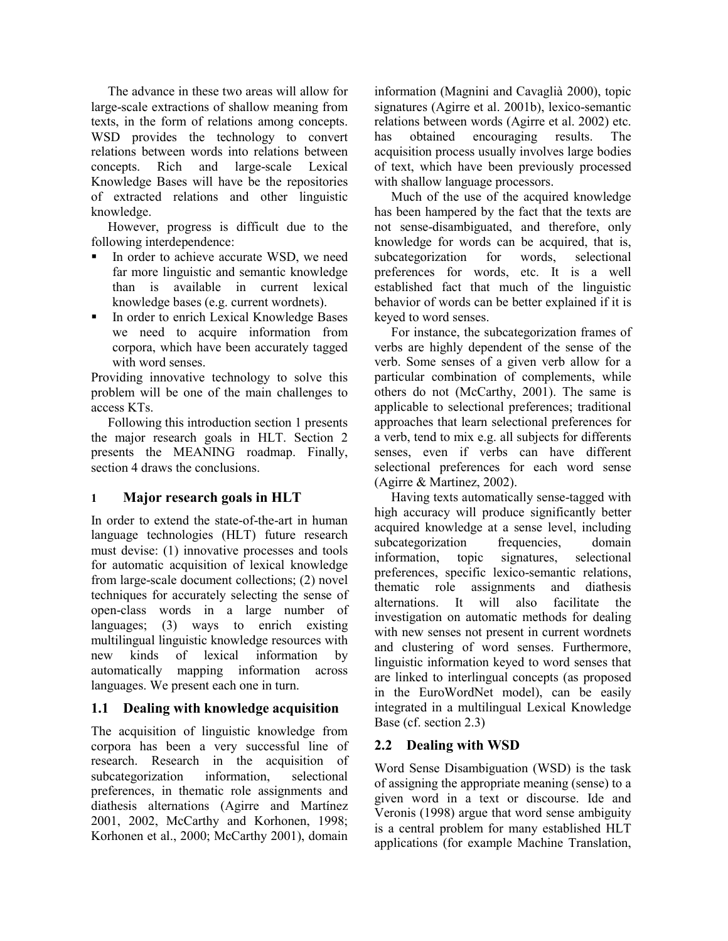The advance in these two areas will allow for large-scale extractions of shallow meaning from texts, in the form of relations among concepts. WSD provides the technology to convert relations between words into relations between concepts. Rich and large-scale Lexical Knowledge Bases will have be the repositories of extracted relations and other linguistic knowledge.

However, progress is difficult due to the following interdependence:

- In order to achieve accurate WSD, we need far more linguistic and semantic knowledge than is available in current lexical knowledge bases (e.g. current wordnets).
- In order to enrich Lexical Knowledge Bases we need to acquire information from corpora, which have been accurately tagged with word senses.

Providing innovative technology to solve this problem will be one of the main challenges to access KTs.

Following this introduction section 1 presents the major research goals in HLT. Section 2 presents the MEANING roadmap. Finally, section 4 draws the conclusions.

## **1 Major research goals in HLT**

In order to extend the state-of-the-art in human language technologies (HLT) future research must devise: (1) innovative processes and tools for automatic acquisition of lexical knowledge from large-scale document collections; (2) novel techniques for accurately selecting the sense of open-class words in a large number of languages; (3) ways to enrich existing multilingual linguistic knowledge resources with new kinds of lexical information by automatically mapping information across languages. We present each one in turn.

## **1.1 Dealing with knowledge acquisition**

The acquisition of linguistic knowledge from corpora has been a very successful line of research. Research in the acquisition of subcategorization information, selectional preferences, in thematic role assignments and diathesis alternations (Agirre and Martínez 2001, 2002, McCarthy and Korhonen, 1998; Korhonen et al., 2000; McCarthy 2001), domain information (Magnini and Cavaglià 2000), topic signatures (Agirre et al. 2001b), lexico-semantic relations between words (Agirre et al. 2002) etc. has obtained encouraging results. The acquisition process usually involves large bodies of text, which have been previously processed with shallow language processors.

Much of the use of the acquired knowledge has been hampered by the fact that the texts are not sense-disambiguated, and therefore, only knowledge for words can be acquired, that is, subcategorization for words, selectional preferences for words, etc. It is a well established fact that much of the linguistic behavior of words can be better explained if it is keyed to word senses.

For instance, the subcategorization frames of verbs are highly dependent of the sense of the verb. Some senses of a given verb allow for a particular combination of complements, while others do not (McCarthy, 2001). The same is applicable to selectional preferences; traditional approaches that learn selectional preferences for a verb, tend to mix e.g. all subjects for differents senses, even if verbs can have different selectional preferences for each word sense (Agirre & Martinez, 2002).

Having texts automatically sense-tagged with high accuracy will produce significantly better acquired knowledge at a sense level, including subcategorization frequencies, domain information, topic signatures, selectional preferences, specific lexico-semantic relations, thematic role assignments and diathesis alternations. It will also facilitate the investigation on automatic methods for dealing with new senses not present in current wordnets and clustering of word senses. Furthermore, linguistic information keyed to word senses that are linked to interlingual concepts (as proposed in the EuroWordNet model), can be easily integrated in a multilingual Lexical Knowledge Base (cf. section 2.3)

# **2.2 Dealing with WSD**

Word Sense Disambiguation (WSD) is the task of assigning the appropriate meaning (sense) to a given word in a text or discourse. Ide and Veronis (1998) argue that word sense ambiguity is a central problem for many established HLT applications (for example Machine Translation,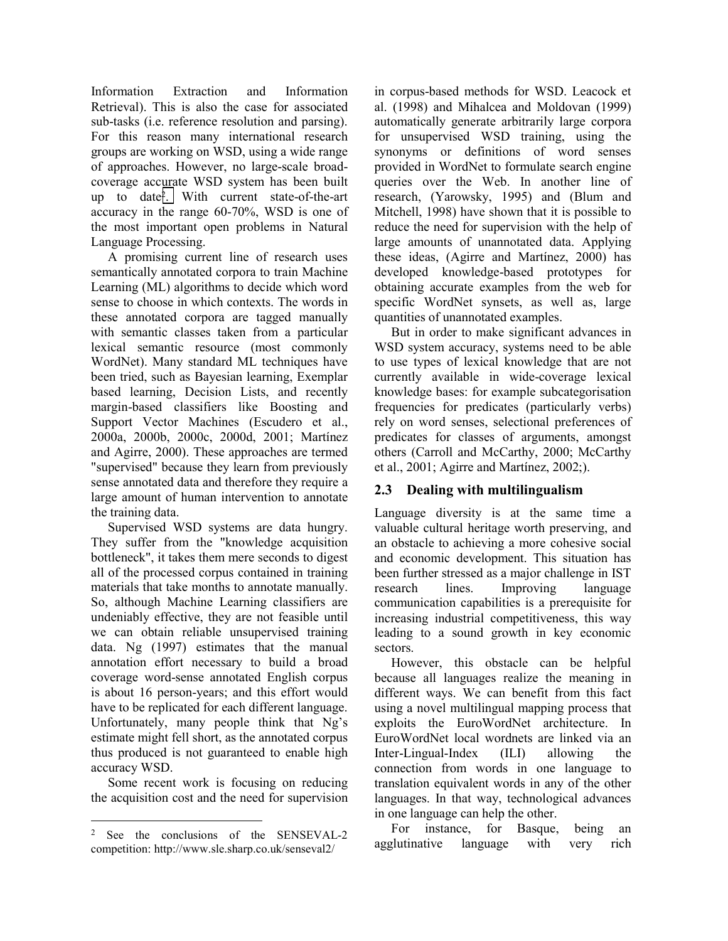Information Extraction and Information Retrieval). This is also the case for associated sub-tasks (i.e. reference resolution and parsing). For this reason many international research groups are working on WSD, using a wide range of approaches. However, no large-scale broadcoverage accurate WSD system has been built up to date2. With current state-of-the-art accuracy in the range 60-70%, WSD is one of the most important open problems in Natural Language Processing.

A promising current line of research uses semantically annotated corpora to train Machine Learning (ML) algorithms to decide which word sense to choose in which contexts. The words in these annotated corpora are tagged manually with semantic classes taken from a particular lexical semantic resource (most commonly WordNet). Many standard ML techniques have been tried, such as Bayesian learning, Exemplar based learning, Decision Lists, and recently margin-based classifiers like Boosting and Support Vector Machines (Escudero et al., 2000a, 2000b, 2000c, 2000d, 2001; Martínez and Agirre, 2000). These approaches are termed "supervised" because they learn from previously sense annotated data and therefore they require a large amount of human intervention to annotate the training data.

Supervised WSD systems are data hungry. They suffer from the "knowledge acquisition bottleneck", it takes them mere seconds to digest all of the processed corpus contained in training materials that take months to annotate manually. So, although Machine Learning classifiers are undeniably effective, they are not feasible until we can obtain reliable unsupervised training data. Ng (1997) estimates that the manual annotation effort necessary to build a broad coverage word-sense annotated English corpus is about 16 person-years; and this effort would have to be replicated for each different language. Unfortunately, many people think that Ng's estimate might fell short, as the annotated corpus thus produced is not guaranteed to enable high accuracy WSD.

Some recent work is focusing on reducing the acquisition cost and the need for supervision

 $\overline{a}$ 

in corpus-based methods for WSD. Leacock et al. (1998) and Mihalcea and Moldovan (1999) automatically generate arbitrarily large corpora for unsupervised WSD training, using the synonyms or definitions of word senses provided in WordNet to formulate search engine queries over the Web. In another line of research, (Yarowsky, 1995) and (Blum and Mitchell, 1998) have shown that it is possible to reduce the need for supervision with the help of large amounts of unannotated data. Applying these ideas, (Agirre and Martínez, 2000) has developed knowledge-based prototypes for obtaining accurate examples from the web for specific WordNet synsets, as well as, large quantities of unannotated examples.

But in order to make significant advances in WSD system accuracy, systems need to be able to use types of lexical knowledge that are not currently available in wide-coverage lexical knowledge bases: for example subcategorisation frequencies for predicates (particularly verbs) rely on word senses, selectional preferences of predicates for classes of arguments, amongst others (Carroll and McCarthy, 2000; McCarthy et al., 2001; Agirre and Martínez, 2002;).

## **2.3 Dealing with multilingualism**

Language diversity is at the same time a valuable cultural heritage worth preserving, and an obstacle to achieving a more cohesive social and economic development. This situation has been further stressed as a major challenge in IST research lines. Improving language communication capabilities is a prerequisite for increasing industrial competitiveness, this way leading to a sound growth in key economic sectors.

However, this obstacle can be helpful because all languages realize the meaning in different ways. We can benefit from this fact using a novel multilingual mapping process that exploits the EuroWordNet architecture. In EuroWordNet local wordnets are linked via an Inter-Lingual-Index (ILI) allowing the connection from words in one language to translation equivalent words in any of the other languages. In that way, technological advances in one language can help the other.

For instance, for Basque, being an agglutinative language with very rich

<sup>2</sup> See the conclusions of the SENSEVAL-2 competition: http://www.sle.sharp.co.uk/senseval2/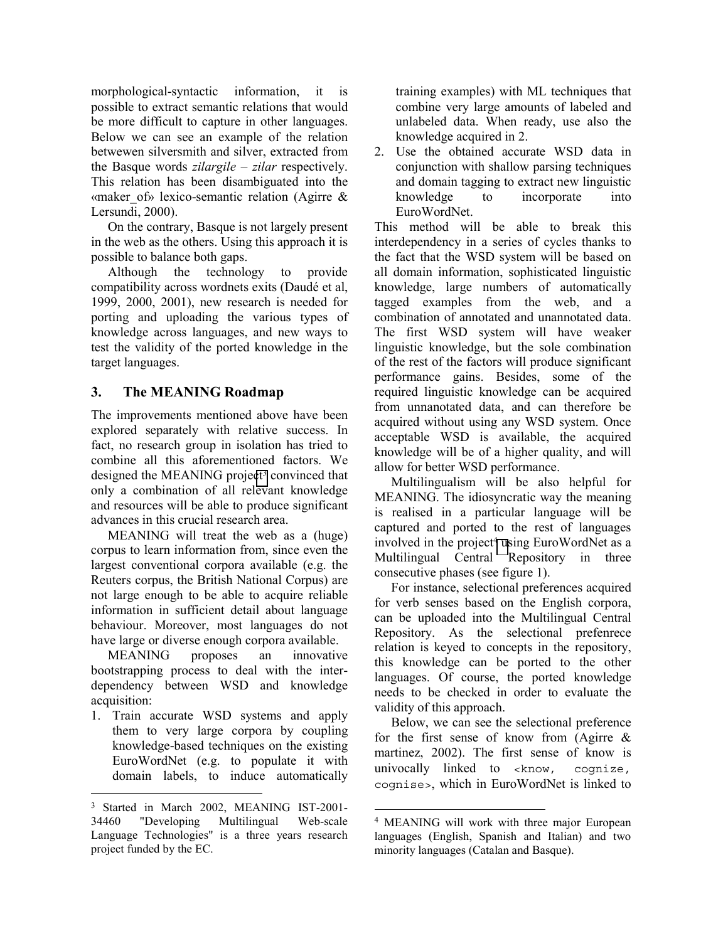morphological-syntactic information, it is possible to extract semantic relations that would be more difficult to capture in other languages. Below we can see an example of the relation betwewen silversmith and silver, extracted from the Basque words *zilargile – zilar* respectively. This relation has been disambiguated into the «maker\_of» lexico-semantic relation (Agirre & Lersundi, 2000).

On the contrary, Basque is not largely present in the web as the others. Using this approach it is possible to balance both gaps.

Although the technology to provide compatibility across wordnets exits (Daudé et al, 1999, 2000, 2001), new research is needed for porting and uploading the various types of knowledge across languages, and new ways to test the validity of the ported knowledge in the target languages.

## **3. The MEANING Roadmap**

The improvements mentioned above have been explored separately with relative success. In fact, no research group in isolation has tried to combine all this aforementioned factors. We designed the MEANING project<sup>3</sup> convinced that only a combination of all relevant knowledge and resources will be able to produce significant advances in this crucial research area.

MEANING will treat the web as a (huge) corpus to learn information from, since even the largest conventional corpora available (e.g. the Reuters corpus, the British National Corpus) are not large enough to be able to acquire reliable information in sufficient detail about language behaviour. Moreover, most languages do not have large or diverse enough corpora available.

MEANING proposes an innovative bootstrapping process to deal with the interdependency between WSD and knowledge acquisition:

1. Train accurate WSD systems and apply them to very large corpora by coupling knowledge-based techniques on the existing EuroWordNet (e.g. to populate it with domain labels, to induce automatically

 $\overline{a}$ 

training examples) with ML techniques that combine very large amounts of labeled and unlabeled data. When ready, use also the knowledge acquired in 2.

2. Use the obtained accurate WSD data in conjunction with shallow parsing techniques and domain tagging to extract new linguistic knowledge to incorporate into EuroWordNet.

This method will be able to break this interdependency in a series of cycles thanks to the fact that the WSD system will be based on all domain information, sophisticated linguistic knowledge, large numbers of automatically tagged examples from the web, and a combination of annotated and unannotated data. The first WSD system will have weaker linguistic knowledge, but the sole combination of the rest of the factors will produce significant performance gains. Besides, some of the required linguistic knowledge can be acquired from unnanotated data, and can therefore be acquired without using any WSD system. Once acceptable WSD is available, the acquired knowledge will be of a higher quality, and will allow for better WSD performance.

Multilingualism will be also helpful for MEANING. The idiosyncratic way the meaning is realised in a particular language will be captured and ported to the rest of languages involved in the project<sup>4</sup> using EuroWordNet as a Multilingual Central Repository in three consecutive phases (see figure 1).

For instance, selectional preferences acquired for verb senses based on the English corpora, can be uploaded into the Multilingual Central Repository. As the selectional prefenrece relation is keyed to concepts in the repository, this knowledge can be ported to the other languages. Of course, the ported knowledge needs to be checked in order to evaluate the validity of this approach.

Below, we can see the selectional preference for the first sense of know from (Agirre & martinez, 2002). The first sense of know is univocally linked to <know, cognize, cognise>, which in EuroWordNet is linked to

 $\overline{a}$ 

<sup>3</sup> Started in March 2002, MEANING IST-2001- 34460 "Developing Multilingual Web-scale Language Technologies" is a three years research project funded by the EC.

<sup>4</sup> MEANING will work with three major European languages (English, Spanish and Italian) and two minority languages (Catalan and Basque).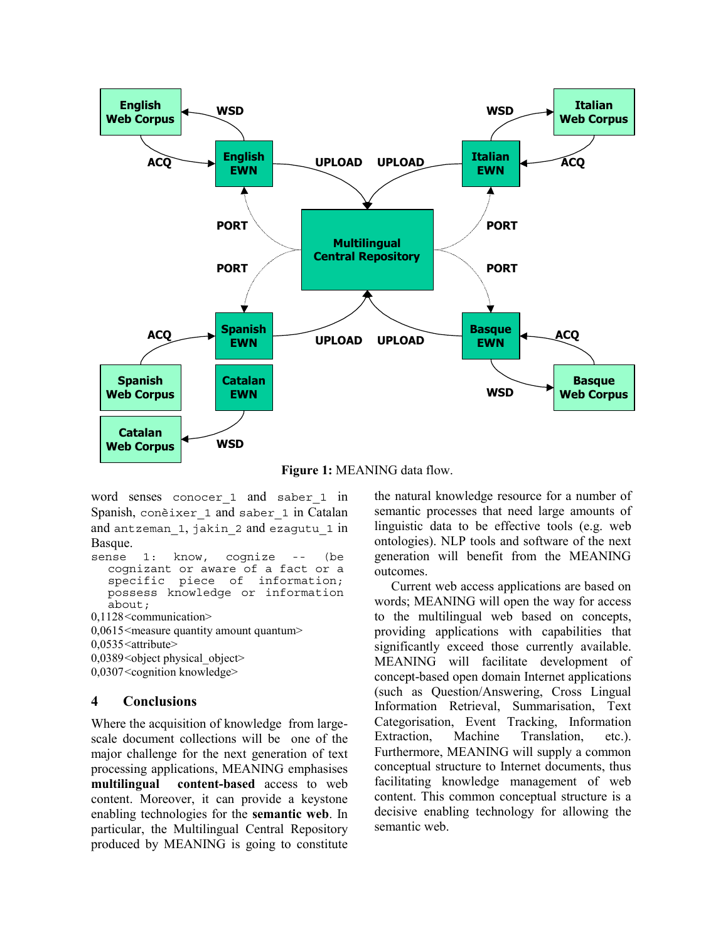

**Figure 1:** MEANING data flow.

word senses conocer\_1 and saber\_1 in Spanish, conèixer\_1 and saber\_1 in Catalan and antzeman\_1, jakin\_2 and ezagutu\_1 in Basque.

```
sense 1: know, cognize -- (be 
cognizant or aware of a fact or a 
specific piece of information; 
possess knowledge or information 
about;
```
0,1128 <communication>

 $0,0615$  <measure quantity amount quantum>

```
0,0535 <attribute>
```
 $0,0389$  < object physical object>

0,0307 <cognition knowledge>

## **4 Conclusions**

Where the acquisition of knowledge from largescale document collections will be one of the major challenge for the next generation of text processing applications, MEANING emphasises **multilingual content-based** access to web content. Moreover, it can provide a keystone enabling technologies for the **semantic web**. In particular, the Multilingual Central Repository produced by MEANING is going to constitute the natural knowledge resource for a number of semantic processes that need large amounts of linguistic data to be effective tools (e.g. web ontologies). NLP tools and software of the next generation will benefit from the MEANING outcomes.

Current web access applications are based on words; MEANING will open the way for access to the multilingual web based on concepts, providing applications with capabilities that significantly exceed those currently available. MEANING will facilitate development of concept-based open domain Internet applications (such as Question/Answering, Cross Lingual Information Retrieval, Summarisation, Text Categorisation, Event Tracking, Information Extraction, Machine Translation, etc.). Furthermore, MEANING will supply a common conceptual structure to Internet documents, thus facilitating knowledge management of web content. This common conceptual structure is a decisive enabling technology for allowing the semantic web.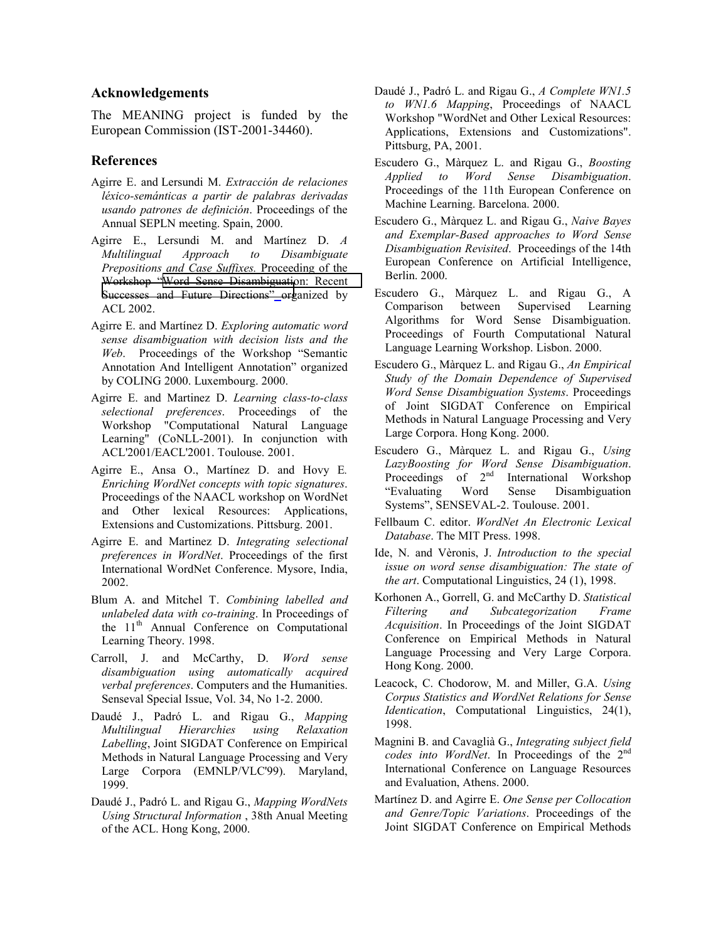#### **Acknowledgements**

The MEANING project is funded by the European Commission (IST-2001-34460).

#### **References**

- Agirre E. and Lersundi M. *Extracción de relaciones léxico-semánticas a partir de palabras derivadas usando patrones de definición*. Proceedings of the Annual SEPLN meeting. Spain, 2000.
- Agirre E., Lersundi M. and Martínez D. *A Multilingual Approach to Disambiguate Prepositions and Case Suffixes.* Proceeding of the Workshop "[Word Sense Disambiguation: Recent](http://www.seas.smu.edu/~rada/ACL02.WSD/)  [Successes and Future Directions"](http://www.seas.smu.edu/~rada/ACL02.WSD/) organized by ACL 2002.
- Agirre E. and Martínez D. *Exploring automatic word sense disambiguation with decision lists and the Web*. Proceedings of the Workshop "Semantic Annotation And Intelligent Annotation" organized by COLING 2000. Luxembourg. 2000.
- Agirre E. and Martinez D. *Learning class-to-class selectional preferences*. Proceedings of the Workshop "Computational Natural Language Learning" (CoNLL-2001). In conjunction with ACL'2001/EACL'2001. Toulouse. 2001.
- Agirre E., Ansa O., Martínez D. and Hovy E*. Enriching WordNet concepts with topic signatures*. Proceedings of the NAACL workshop on WordNet and Other lexical Resources: Applications, Extensions and Customizations. Pittsburg. 2001.
- Agirre E. and Martinez D. *Integrating selectional preferences in WordNet*. Proceedings of the first International WordNet Conference. Mysore, India, 2002.
- Blum A. and Mitchel T. *Combining labelled and unlabeled data with co-training*. In Proceedings of the 11<sup>th</sup> Annual Conference on Computational Learning Theory. 1998.
- Carroll, J. and McCarthy, D. *Word sense disambiguation using automatically acquired verbal preferences*. Computers and the Humanities. Senseval Special Issue, Vol. 34, No 1-2. 2000.
- Daudé J., Padró L. and Rigau G., *Mapping Multilingual Hierarchies using Relaxation Labelling*, Joint SIGDAT Conference on Empirical Methods in Natural Language Processing and Very Large Corpora (EMNLP/VLC'99). Maryland, 1999.
- Daudé J., Padró L. and Rigau G., *Mapping WordNets Using Structural Information* , 38th Anual Meeting of the ACL. Hong Kong, 2000.
- Daudé J., Padró L. and Rigau G., *A Complete WN1.5 to WN1.6 Mapping*, Proceedings of NAACL Workshop "WordNet and Other Lexical Resources: Applications, Extensions and Customizations". Pittsburg, PA, 2001.
- Escudero G., Màrquez L. and Rigau G., *Boosting Applied to Word Sense Disambiguation*. Proceedings of the 11th European Conference on Machine Learning. Barcelona. 2000.
- Escudero G., Màrquez L. and Rigau G., *Naive Bayes and Exemplar-Based approaches to Word Sense Disambiguation Revisited*. Proceedings of the 14th European Conference on Artificial Intelligence, Berlin. 2000.
- Escudero G., Màrquez L. and Rigau G., A Comparison between Supervised Learning Algorithms for Word Sense Disambiguation. Proceedings of Fourth Computational Natural Language Learning Workshop. Lisbon. 2000.
- Escudero G., Màrquez L. and Rigau G., *An Empirical Study of the Domain Dependence of Supervised Word Sense Disambiguation Systems*. Proceedings of Joint SIGDAT Conference on Empirical Methods in Natural Language Processing and Very Large Corpora. Hong Kong. 2000.
- Escudero G., Màrquez L. and Rigau G., *Using LazyBoosting for Word Sense Disambiguation*. Proceedings of 2<sup>nd</sup> International Workshop "Evaluating Word Sense Disambiguation Systems", SENSEVAL-2. Toulouse. 2001.
- Fellbaum C. editor. *WordNet An Electronic Lexical Database*. The MIT Press. 1998.
- Ide, N. and Vèronis, J. *Introduction to the special issue on word sense disambiguation: The state of the art*. Computational Linguistics, 24 (1), 1998.
- Korhonen A., Gorrell, G. and McCarthy D. *Statistical Filtering and Subcategorization Frame Acquisition*. In Proceedings of the Joint SIGDAT Conference on Empirical Methods in Natural Language Processing and Very Large Corpora. Hong Kong. 2000.
- Leacock, C. Chodorow, M. and Miller, G.A. *Using Corpus Statistics and WordNet Relations for Sense Identication*, Computational Linguistics, 24(1), 1998.
- Magnini B. and Cavaglià G., *Integrating subject field codes into WordNet*. In Proceedings of the 2nd International Conference on Language Resources and Evaluation, Athens. 2000.
- Martínez D. and Agirre E. *One Sense per Collocation and Genre/Topic Variations*. Proceedings of the Joint SIGDAT Conference on Empirical Methods